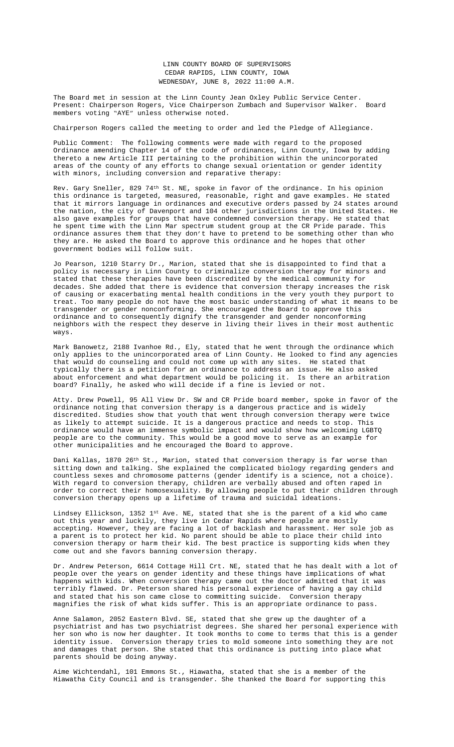thereto a new Article III pertaining to the prohibition within the unincorporated areas of the county of any efforts to change sexual orientation or gender identity with minors, including conversion and reparative therapy:

Rev. Gary Sneller, 829 74th St. NE, spoke in favor of the ordinance. In his opinion this ordinance is targeted, measured, reasonable, right and gave examples. He stated that it mirrors language in ordinances and executive orders passed by 24 states around the nation, the city of Davenport and 104 other jurisdictions in the United States. He also gave examples for groups that have condemned conversion therapy. He stated that he spent time with the Linn Mar spectrum student group at the CR Pride parade. This ordinance assures them that they don't have to pretend to be something other than who they are. He asked the Board to approve this ordinance and he hopes that other government bodies will follow suit.

Jo Pearson, 1210 Starry Dr., Marion, stated that she is disappointed to find that a policy is necessary in Linn County to criminalize conversion therapy for minors and stated that these therapies have been discredited by the medical community for decades. She added that there is evidence that conversion therapy increases the risk of causing or exacerbating mental health conditions in the very youth they purport to treat. Too many people do not have the most basic understanding of what it means to be transgender or gend[er nonconforming. She encouraged the](Documents/6-6,%206-8,%206-13%20LC%20ORDINANCE%20on%20Conversion%20Therapy.pdf) Board to approve this ordinance and to consequently dignify the transgender and gender nonconforming neighbors with the respect they deserve in living their lives in their most authentic ways.

Mark Banowetz, 2188 Ivanhoe Rd., Ely, stated that he went through the ordinance which only applies to the unincorporated area of Linn County. He looked to find any agencies that would do counseling and could not come up with any sites. He stated that typically there is a petition for an ordinance to address an issue. He also asked about enforcement and what department would be policing it. Is there an arbitration board? Finally, he asked who will decide if a fine is levied or not.

Atty. Drew Powell, 95 All View Dr. SW and CR Pride board member, spoke in favor of the ordinance noting that conversion therapy is a dangerous practice and is widely discredited. Studies show that youth that went through conversion therapy were twice as likely to attempt suicide. It is a dangerous practice and needs to stop. This ordinance would have an immense symbolic impact and would show how welcoming LGBTQ people are to the community. This would be a good move to serve as an example for other municipalities and he encouraged the Board to approve.

Dani Kallas, 1870 26<sup>th</sup> St., Marion, stated that conversion therapy is far worse than sitting down and talking. She explained the complicated biology regarding genders and countless sexes and chromosome patterns (gender identify is a science, not a choice). With regard to conversion therapy, children are verbally abused and often raped in order to correct their homosexuality. By allowing people to put their children through conversion therapy opens up a lifetime of trauma and suicidal ideations.

Lindsey Ellickson, 1352 1st Ave. NE, stated that she is the parent of a kid who came out this year and luckily, they live in Cedar Rapids where people are mostly accepting. However, they are facing a lot of backlash and harassment. Her sole job as a parent is to protect her kid. No parent should be able to place their child into conversion therapy or harm their kid. The best practice is supporting kids when they come out and she favors banning conversion therapy.

Dr. Andrew Peterson, 6614 Cottage Hill Crt. NE, stated that he has dealt with a lot of people over the years on gender identity and these things have implications of what happens with kids. When conversion therapy came out the doctor admitted that it was terribly flawed. Dr. Peterson shared his personal experience of having a gay child and stated that his son came close to committing suicide. Conversion therapy magnifies the risk of what kids suffer. This is an appropriate ordinance to pass.

Anne Salamon, 2052 Eastern Blvd. SE, stated that she grew up the daughter of a psychiatrist and has two psychiatrist degrees. She shared her personal experience with her son who is now her daughter. It took months to come to terms that this is a gender identity issue. Conversion therapy tries to mold someone into something they are not and damages that person. She stated that this ordinance is putting into place what parents should be doing anyway.

Aime Wichtendahl, 101 Emmons St., Hiawatha, stated that she is a member of the Hiawatha City Council and is transgender. She thanked the Board for supporting this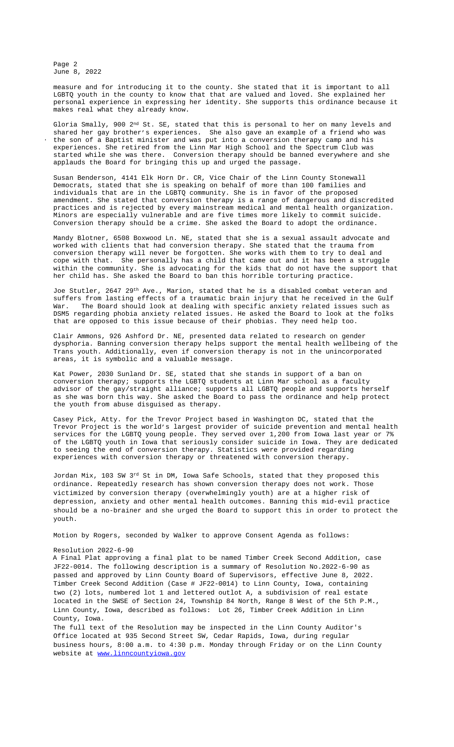applauds the Board for bringing this up and urged the passage.

Susan Benderson, 4141 Elk Horn Dr. CR, Vice Chair of the Linn County Stonewall Democrats, stated that she is speaking on behalf of more than 100 families and individuals that are in the LGBTQ community. She is in favor of the proposed amendment. She stated that conversion therapy is a range of dangerous and discredited practices and is rejected by every mainstream medical and mental health organization. Minors are especially vulnerable and are five times more likely to commit suicide. Conversion therapy should be a crime. She asked the Board to adopt the ordinance.

Mandy Blotner, 6508 Boxwood Ln. NE, stated that she is a sexual assault advocate and worked with clients that had conversion therapy. She stated that the trauma from conversion therapy will never be forgotten. She works with them to try to deal and cope with that. She personally has a child that came out and it has been a struggle within the community. She is advocating for the kids that do not have the support that her child has. She asked the Board to ban this horrible torturing practice.

Joe Stutler, 2647 29th Ave., Marion, stated that he is a disabled combat veteran and suffers from lasting effects of a traumatic brain injury that he received in the Gulf War. The Board should look at dealing with specific anxiety related issues such as DSM5 regarding phobia anxiety related issues. He asked the Board to look at the folks that are opposed to this issue because of their phobias. They need help too.

Clair Ammons, 926 Ashford Dr. NE, presented data related to research on gender dysphoria. Banning conversion therapy helps support the mental health wellbeing of the Trans youth. Additionally, even if conversion therapy is not in the unincorporated areas, it is symbolic and a valuable message.

Kat Power, 2030 Sunland Dr. SE, stated that she stands in support of a ban on conversion therapy; supports the LGBTQ students at Linn Mar school as a faculty advisor of the gay/straight alliance; supports all LGBTQ people and supports herself as she was born this way. She asked the Board to pass the ordinance and help protect the youth from abuse disguised as therapy.

Casey Pick, Atty. for the Trevor Project based in Washington DC, stated that the Trevor Project is the world's largest provider of suicide prevention and mental health services for the LGBTQ young people. They served over 1,200 from Iowa last year or 7% of the LGBTQ youth in Iowa that seriously consider suicide in Iowa. They are dedicated to seeing the end of conversion therapy. Statistics were provided regarding experiences with conversion therapy or threatened with conversion therapy.

Jordan Mix, 103 SW 3<sup>rd</sup> St in DM, Iowa Safe Schools, stated that they proposed this ordinance. Repeatedly research has shown conversion therapy does not work. Those victimized by conversion therapy (overwhelmingly youth) are at a higher risk of depression, anxiety and other mental health outcomes. Banning this mid-evil practice should be a no-brainer and she urged the Board to support this in order to protect the youth.

Motion by Rogers, seconded by Walker to approve Consent Agenda as follows:

## Resolution 2022-6-90

A Final Plat approving a final plat to be named Timber Creek Second Addition, case JF22-0014. The following description is a summary of Resolution No.2022-6-90 as [passed and approved by Linn County Board of Supervisors, effective June 8, 2022.](https://lgbtqbar.org/annual/conference-speakers/casey-pick-2/)  Timber Creek [Second](https://lgbtqbar.org/annual/conference-speakers/casey-pick-2/) Ad[dition](https://lgbtqbar.org/annual/conference-speakers/casey-pick-2/) (Case # [JF22-0014\)](https://lgbtqbar.org/annual/conference-speakers/casey-pick-2/) to Linn County, Iowa, containi[ng](https://lgbtqbar.org/annual/conference-speakers/casey-pick-2/) two (2) lots, [numbered](https://lgbtqbar.org/annual/conference-speakers/casey-pick-2/) lot 1 and [lettered](https://lgbtqbar.org/annual/conference-speakers/casey-pick-2/) outlot A, a [subdivision](https://lgbtqbar.org/annual/conference-speakers/casey-pick-2/) of real estate located in the SWSE of Section 24, [Township](https://lgbtqbar.org/annual/conference-speakers/casey-pick-2/) 84 North, Range 8 West of the 5th P.M., Linn County, Iowa, [described](https://lgbtqbar.org/annual/conference-speakers/casey-pick-2/) as follows: Lot 26, Timber Creek [Addition](https://lgbtqbar.org/annual/conference-speakers/casey-pick-2/) i[n](https://lgbtqbar.org/annual/conference-speakers/casey-pick-2/) Linn [County,](https://lgbtqbar.org/annual/conference-speakers/casey-pick-2/) Iowa.

The full text of the Resolution may be inspected in the Linn County Auditor's [Office located at 935 Second Street SW, Cedar Rapids, Iowa, during regular](https://lgbtqbar.org/annual/conference-speakers/casey-pick-2/)  [business hours, 8:00 a.m. to 4:30 p.m. Monday through Friday or on the Linn Count](https://lgbtqbar.org/annual/conference-speakers/casey-pick-2/)y [website at www.linncountyiowa.gov](https://lgbtqbar.org/annual/conference-speakers/casey-pick-2/)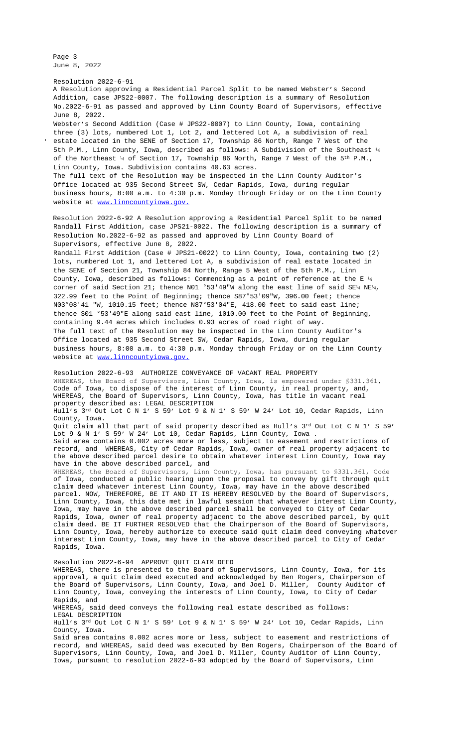of the Northeast  $\frac{1}{2}$  of Section 17, Township 86 North, Range 7 West of the  $5$  T.M., Linn County, Iowa. Subdivision contains 40.63 acres. The full text of the Resolution may be inspected in the Linn County Auditor's Office located at 935 Second Street SW, Cedar Rapids, Iowa, during regular business hours, 8:00 a.m. to 4:30 p.m. Monday through Friday or on the Linn County website at www.linncountyiowa.gov.

Resolution 2022-6-92 A Resolution approving a Residential Parcel Split to be named Randall First Addition, case JPS21-0022. The following description is a summary of Resolution No.2022-6-92 as passed and approved by Linn County Board of Supervisors, effective June 8, 2022.

Randall First Addition (Case # JPS21-0022) to Linn County, Iowa, containing two (2) lots, numbered Lot 1, and lettered Lot A, a subdivision of real estate located in the SENE of Section 21, Township 84 North, Range 5 West of the 5th P.M., Linn County, Iowa, described as follows: Commencing as a point of reference at the E ¼ corner of said Section 21; thence N01  $^{\circ}53'49''$ W along the east line of said SE4 NE4, 322.99 feet to the Point of Beginning; thence S87°53'09"W, 396.00 feet; thence N03°08'41 "W, 1010.15 feet; thence N87°53'04"E, 418.00 feet to said east line; thence S01 °53'49"E along said east line, 1010.00 feet to the Point of Beginning, containing 9.44 acres which includes 0.93 acres of road right of way. The full text of the Resolution may be inspected in the Linn County Auditor's Office located at 935 Second Street SW, Cedar Rapids, Iowa, during regular business hours, 8:00 a.m. to 4:30 p.m. Monday through Friday or on the Linn County website at [www.linncountyiowa.gov.](http://www.linncountyiowa.gov.)

Resolution 2022-6-93 AUTHORIZE CONVEYANCE OF VACANT REAL PROPERTY WHEREAS, the Board of Supervisors, Linn County, Iowa, is empowered under §331.361, Code of Iowa, to dispose of the interest of Linn County, in real property, and, WHEREAS, the Board of Supervisors, Linn County, Iowa, has title in vacant real property described as: LEGAL DESCRIPTION Hull's 3rd Out Lot C N 1' S 59' Lot 9 & N 1' S 59' W 24' Lot 10, Cedar Rapids, Linn County, Iowa. Quit claim all that part of said property described as Hull's 3rd Out Lot C N 1' S 59' Lot 9 & N 1' S 59' W 24' Lot 10, Cedar Rapids, Linn County, Iowa . Said area contains 0.002 acres more or less, subject to easement and restrictions of record, and WHEREAS, City of Cedar Rapids, Iowa, owner of real property adjacent to the above described parcel desire to obtain whatever interest Linn County, Iowa may have in the above described parcel, and WHEREAS, the Board of Supervisors, Linn County, Iowa, has pursuant to §331.361, Code of Iowa, conducted a public hearing upon the proposal to convey by gift through quit claim deed whatever interest Linn County, Iowa, may have in the above described parcel. NOW, THEREFORE, BE IT AND IT IS HEREBY RESOLVED by the Board of Supervisors, Linn County, Iowa, this date met in lawful session that whatever interest Linn County, Iowa, may have in the above described parcel shall be conveyed to City of Cedar Rapids, Io[wa, owner of real propert](http://www.linncountyiowa.gov.)y adjacent to the above described parcel, by quit claim deed. BE IT FURTHER RESOLVED that the Chairperson of the Board of Supervisors, Linn County, Iowa, hereby authorize to execute said quit claim deed conveying whatever interest Linn County, Iowa, may have in the above described parcel to City of Cedar Rapids, Iowa. Resolution 2022-6-94 APPROVE QUIT CLAIM DEED

WHEREAS, there is presented to the Board of Supervisors, Linn County, Iowa, for its approval, a quit claim deed executed and acknowledged by Ben Rogers, Chairperson of the Board of Supervisors, Linn County, Iowa, and Joel D. Miller, County Auditor of Linn County, Iowa, conveying the interests of Linn County, Iowa, to City of Cedar Rapids, and WHEREAS, said deed conveys the following real estate described as follows: LEGAL DESCRIPTION Hull's 3rd Out Lot C N 1' S 59' Lot 9 & N 1' S 59' W 24' Lot 10, Cedar Rapids, Linn County, Iowa. Said area contains 0.002 acres more or less, subject to easement and restrictions of record, and WHEREAS, said deed was executed by Ben Rogers, Chairperson of the Board of Supervisors, Linn County, Iowa, and Joel D. Miller, County Auditor of Linn County, Iowa, pursuant to resolution 2022-6-93 adopted by the Board of Supervisors, Linn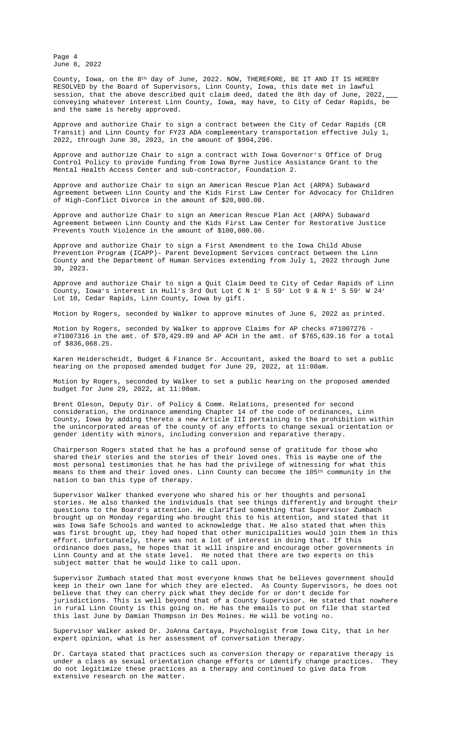Control Policy to provide funding from Iowa Byrne Justice Assistance Grant to the Mental Health Access Center and sub-contractor, Foundation 2.

Approve and authorize Chair to sign an American Rescue Plan Act (ARPA) Subaward Agreement between Linn County and the Kids First Law Center for Advocacy for Children of High-Conflict Divorce in the amount of \$20,000.00.

Approve and authorize Chair to sign an American Rescue Plan Act (ARPA) Subaward Agreement between Linn County and the Kids First Law Center for Restorative Justice Prevents Youth Violence in the amount of \$100,000.00.

Approve and authorize Chair to sign a First Amendment to the Iowa Child Abuse Prevention Program (ICAPP)- Parent Development Services contract between the Linn County and the Department of Human Services extending from July 1, 2022 through June 30, 2023.

Approve and authorize Chair to sign a Quit Claim Deed to Ci[ty of Cedar Rapids of Linn](Documents/6-6%20&%206-8%20LIFTS%20FY23%20Contract.pdf) County, Iowa's interest in Hull's 3rd Out Lot C N 1' S 59' Lot 9 & N 1' S 59' W 24' Lot 10, Cedar Rapids, Linn County, Iowa by gift.

Motion by Rogers, seconded by Walke[r to approve minutes of June 6, 2022 as printed.](Documents/6-8%20Certified%20Assurances%202022%20June%20Fillable-JAG%20FY23.pdf)

[Motion by Rogers, seconded](Documents/6-8%20ODCP%20Standard%20Grant%20Conditions%20June%202022%20Fillable%20Form-Jag%20FY23.pdf) [by Walker to approve Cl](Documents/6-8%20Iowa%20Byrne%20Linn%20Cover%20Page-FY23.pdf)aims for AP checks #71007276 - #71007316 in the amt. of \$70,429.09 and AP ACH in the amt. of \$765,639.16 for a total of \$836,068.25.

Karen Heiderscheidt, Budget & Finance [Sr. Accountant, asked the Board to set a public](Documents/6-8%20ARPA%20-%20Kids%20First%20-%20Child%20Advocacy.pdf) hearing on the proposed amended budget for June 29, 2022, at 11:00am.

Motion by Rogers, seconded by Walker [to set a public hearing on the proposed amended](Documents/6-8%20ARPA%20-%20Kids%20First%20-%20Restorative%20Justice.pdf)  budget for June 29, 2022, at 11:00am.

Brent Oleson, Deputy Dir. of Policy & Comm. Relations, prese[nted for second](Documents/6-8%20ICAPP%20ACFS%2021-057%20First%20Amendment.pdf)  consideration, the ordinance amending Chapter 14 of the code of ordinances, Linn County, Iowa by adding thereto a new Article III pertaining to the prohibition within the unincorporated areas of the county of any efforts to change sexual orientation or gender identity with minors, including conversion and reparative therapy.

Chairperson Rogers stated that he has a profound sense of gratitude for those who shared their stories and the stories of their loved ones. This is maybe one of the most personal testimonies that he has had the privilege of witnessing for what this means to them and their loved ones. Linn County can become the 105<sup>th</sup> community in the nation to ban this type of therapy.

Supervisor Walker thanked everyone who shared his or her thoughts and personal stories. He also thanked the individuals that see things differently and brought their questions to the Board's attention. He clarified something that Supervisor Zumbach brought up on Monday regarding who brought this to his attention, and stated that it was Iowa Safe Schools an[d wanted to ac](Documents/6-8%20Budget%20Notice%20of%20Public%20Hearing.pdf)knowledge that. He also stated that when this was first brought up, they had hoped that other municipalities would join them in this effort. Unfortunately, there was not a lot of interest in doing that. If this ordinance does pass, he hopes that it will inspire and encourage other govern[ments in](Documents/6-8%20Budget%20Notice%20of%20Public%20Hearing.pdf) Linn County and at the state level. He noted that there are two experts on this subject matter that he would like to call upon.

Supervisor Zumbach stated that most e[veryone knows that he believes governm](Documents/6-6,%206-8,%206-13%20LC%20ORDINANCE%20on%20Conversion%20Therapy.pdf)ent should keep in their own lane for which they are elected. As County Supervisors, he does not believe that they can cherry pick what they decide for or don't decide for jurisdictions. This is well beyond that of a County Supervisor. He stated that nowhere in rural Linn County is this going on. He has the emails to put on file that started this last June by Damian Thompson in Des Moines. He will be voting no.

Supervisor Walker asked Dr. JoAnna Cartaya, Psychologist from Iowa City, that in her expert opinion, what is her assessment of conversation therapy.

Dr. Cartaya stated that practices such as conversion therapy or reparative therapy is under a class as sexual orientation change efforts or identify change practices. They do not legitimize these practices as a therapy and continued to give data from extensive research on the matter.